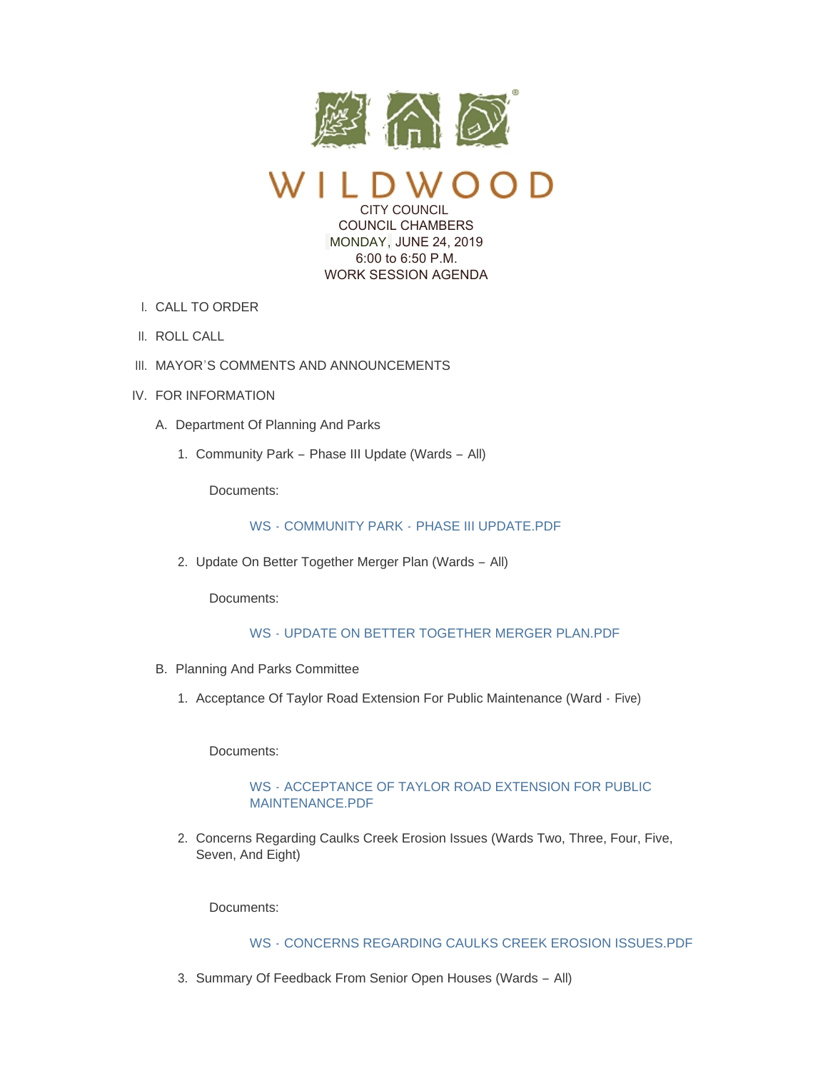

CITY COUNCIL COUNCIL CHAMBERS

MONDAY, JUNE 24, 2019 6:00 to 6:50 P.M. WORK SESSION AGENDA

- CALL TO ORDER I.
- II. ROLL CALL
- III. MAYOR'S COMMENTS AND ANNOUNCEMENTS
- IV. FOR INFORMATION
	- A. Department Of Planning And Parks
		- 1. Community Park Phase III Update (Wards All)

Documents:

## WS - COMMUNITY PARK - [PHASE III UPDATE.PDF](https://www.cityofwildwood.com/AgendaCenter/ViewFile/Item/20851?fileID=26582)

2. Update On Better Together Merger Plan (Wards - All)

Documents:

# WS - [UPDATE ON BETTER TOGETHER MERGER PLAN.PDF](https://www.cityofwildwood.com/AgendaCenter/ViewFile/Item/20852?fileID=26583)

- B. Planning And Parks Committee
	- 1. Acceptance Of Taylor Road Extension For Public Maintenance (Ward Five)

Documents:

### WS - [ACCEPTANCE OF TAYLOR ROAD EXTENSION FOR PUBLIC](https://www.cityofwildwood.com/AgendaCenter/ViewFile/Item/20870?fileID=26588)  MAINTENANCE.PDF

2. Concerns Regarding Caulks Creek Erosion Issues (Wards Two, Three, Four, Five, Seven, And Eight)

Documents:

## WS - [CONCERNS REGARDING CAULKS CREEK EROSION ISSUES.PDF](https://www.cityofwildwood.com/AgendaCenter/ViewFile/Item/20871?fileID=26589)

3. Summary Of Feedback From Senior Open Houses (Wards - All)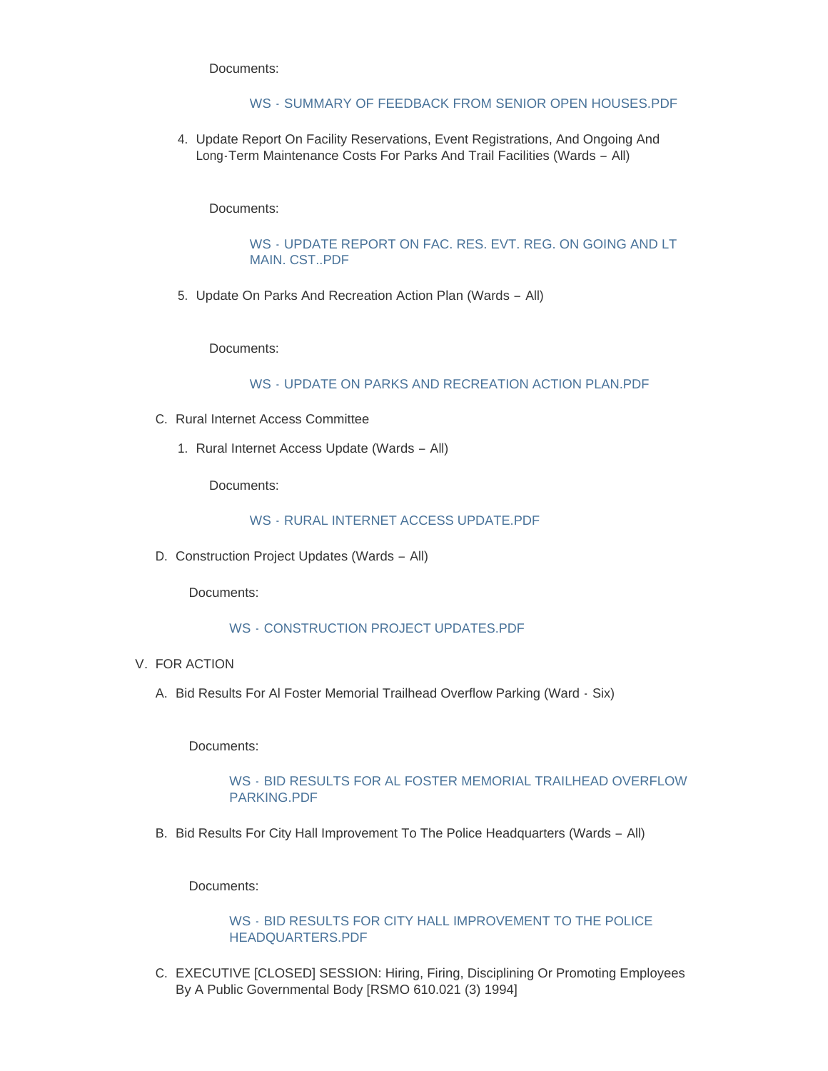Documents:

#### WS - [SUMMARY OF FEEDBACK FROM SENIOR OPEN HOUSES.PDF](https://www.cityofwildwood.com/AgendaCenter/ViewFile/Item/20872?fileID=26590)

4. Update Report On Facility Reservations, Event Registrations, And Ongoing And Long-Term Maintenance Costs For Parks And Trail Facilities (Wards – All)

Documents:

#### WS - [UPDATE REPORT ON FAC. RES. EVT. REG. ON GOING AND LT](https://www.cityofwildwood.com/AgendaCenter/ViewFile/Item/20873?fileID=26591)  MAIN. CST..PDF

5. Update On Parks And Recreation Action Plan (Wards - All)

Documents:

#### WS - [UPDATE ON PARKS AND RECREATION ACTION PLAN.PDF](https://www.cityofwildwood.com/AgendaCenter/ViewFile/Item/20874?fileID=26592)

- C. Rural Internet Access Committee
	- 1. Rural Internet Access Update (Wards All)

Documents:

#### WS - [RURAL INTERNET ACCESS UPDATE.PDF](https://www.cityofwildwood.com/AgendaCenter/ViewFile/Item/20860?fileID=26584)

D. Construction Project Updates (Wards - All)

Documents:

#### WS - [CONSTRUCTION PROJECT UPDATES.PDF](https://www.cityofwildwood.com/AgendaCenter/ViewFile/Item/20861?fileID=26585)

- V. FOR ACTION
	- A. Bid Results For Al Foster Memorial Trailhead Overflow Parking (Ward Six)

Documents:

### WS - [BID RESULTS FOR AL FOSTER MEMORIAL TRAILHEAD OVERFLOW](https://www.cityofwildwood.com/AgendaCenter/ViewFile/Item/20876?fileID=26594)  PARKING.PDF

B. Bid Results For City Hall Improvement To The Police Headquarters (Wards - All)

Documents:

WS - [BID RESULTS FOR CITY HALL IMPROVEMENT TO THE POLICE](https://www.cityofwildwood.com/AgendaCenter/ViewFile/Item/20875?fileID=26593)  HEADQUARTERS.PDF

C. EXECUTIVE [CLOSED] SESSION: Hiring, Firing, Disciplining Or Promoting Employees By A Public Governmental Body [RSMO 610.021 (3) 1994]